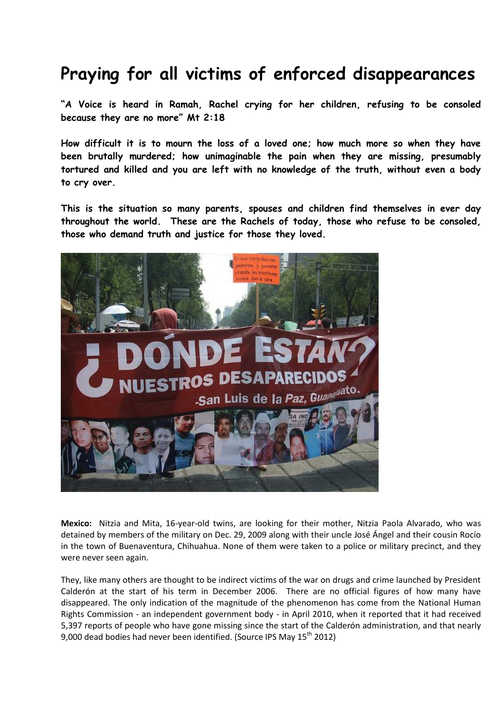## **Praying for all victims of enforced disappearances**

**"A Voice is heard in Ramah, Rachel crying for her children, refusing to be consoled because they are no more" Mt 2:18**

**How difficult it is to mourn the loss of a loved one; how much more so when they have been brutally murdered; how unimaginable the pain when they are missing, presumably tortured and killed and you are left with no knowledge of the truth, without even a body to cry over.**

**This is the situation so many parents, spouses and children find themselves in ever day throughout the world. These are the Rachels of today, those who refuse to be consoled, those who demand truth and justice for those they loved.** 



**Mexico:** Nitzia and Mita, 16-year-old twins, are looking for their mother, Nitzia Paola Alvarado, who was detained by members of the military on Dec. 29, 2009 along with their uncle José Ángel and their cousin Rocío in the town of Buenaventura, Chihuahua. None of them were taken to a police or military precinct, and they were never seen again.

They, like many others are thought to be indirect victims of the war on drugs and crime launched by President Calderón at the start of his term in December 2006. There are no official figures of how many have disappeared. The only indication of the magnitude of the phenomenon has come from the National Human Rights Commission - an independent government body - in April 2010, when it reported that it had received 5,397 reports of people who have gone missing since the start of the Calderón administration, and that nearly 9,000 dead bodies had never been identified. (Source IPS May 15<sup>th</sup> 2012)